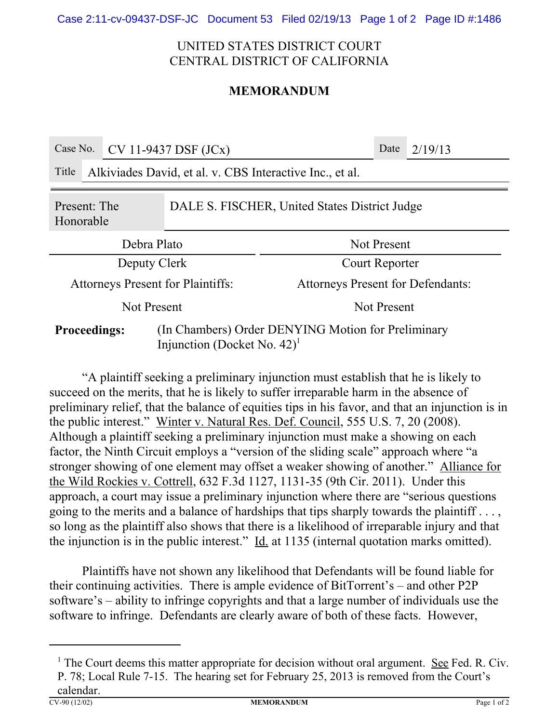## UNITED STATES DISTRICT COURT CENTRAL DISTRICT OF CALIFORNIA

## **MEMORANDUM**

| Case No.                                                                                                                |                                                          | $CV 11-9437$ DSF $(JCx)$ |                                          |  | Date | 2/19/13 |
|-------------------------------------------------------------------------------------------------------------------------|----------------------------------------------------------|--------------------------|------------------------------------------|--|------|---------|
| Title                                                                                                                   | Alkiviades David, et al. v. CBS Interactive Inc., et al. |                          |                                          |  |      |         |
| DALE S. FISCHER, United States District Judge<br>Present: The<br>Honorable                                              |                                                          |                          |                                          |  |      |         |
| Debra Plato                                                                                                             |                                                          |                          | Not Present                              |  |      |         |
| Deputy Clerk                                                                                                            |                                                          |                          | Court Reporter                           |  |      |         |
| <b>Attorneys Present for Plaintiffs:</b>                                                                                |                                                          |                          | <b>Attorneys Present for Defendants:</b> |  |      |         |
| Not Present                                                                                                             |                                                          |                          | <b>Not Present</b>                       |  |      |         |
| (In Chambers) Order DENYING Motion for Preliminary<br><b>Proceedings:</b><br>Injunction (Docket No. $42$ ) <sup>1</sup> |                                                          |                          |                                          |  |      |         |

"A plaintiff seeking a preliminary injunction must establish that he is likely to succeed on the merits, that he is likely to suffer irreparable harm in the absence of preliminary relief, that the balance of equities tips in his favor, and that an injunction is in the public interest." Winter v. Natural Res. Def. Council, 555 U.S. 7, 20 (2008). Although a plaintiff seeking a preliminary injunction must make a showing on each factor, the Ninth Circuit employs a "version of the sliding scale" approach where "a stronger showing of one element may offset a weaker showing of another." Alliance for the Wild Rockies v. Cottrell, 632 F.3d 1127, 1131-35 (9th Cir. 2011). Under this approach, a court may issue a preliminary injunction where there are "serious questions going to the merits and a balance of hardships that tips sharply towards the plaintiff . . . , so long as the plaintiff also shows that there is a likelihood of irreparable injury and that the injunction is in the public interest."  $\underline{Id}$  at 1135 (internal quotation marks omitted).

Plaintiffs have not shown any likelihood that Defendants will be found liable for their continuing activities. There is ample evidence of BitTorrent's – and other P2P software's – ability to infringe copyrights and that a large number of individuals use the software to infringe. Defendants are clearly aware of both of these facts. However,

<sup>&</sup>lt;sup>1</sup> The Court deems this matter appropriate for decision without oral argument. See Fed. R. Civ. P. 78; Local Rule 7-15. The hearing set for February 25, 2013 is removed from the Court's calendar.